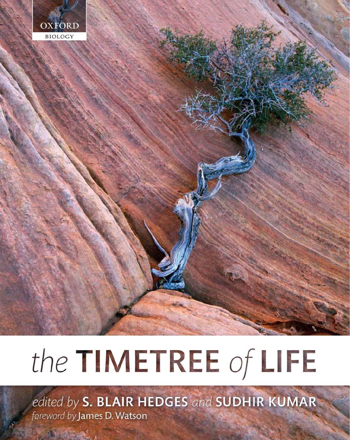

# the TIMETREE of LIFE

edited by S. BLAIR HEDGES and SUDHIR KUMAR foreword by James D. Watson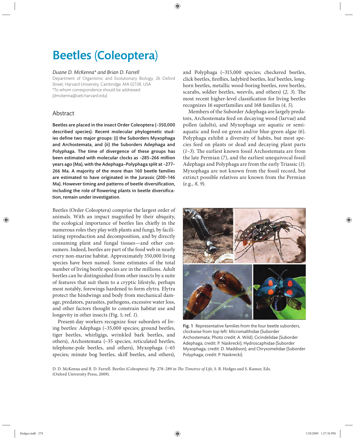## Beetles (Coleoptera)

#### *Duane D. McKenna\* and Brian D. Farrell*

Department of Organismic and Evolutionary Biology, 26 Oxford Street, Harvard University, Cambridge, MA 02138, USA \*To whom correspondence should be addressed (dmckenna@oeb.harvard.edu)

### Abstract

Beetles are placed in the insect Order Coleoptera (~350,000 described species). Recent molecular phylogenetic studies define two major groups: (i) the Suborders Myxophaga and Archostemata, and (ii) the Suborders Adephaga and Polyphaga. The time of divergence of these groups has been estimated with molecular clocks as ~285–266 million years ago (Ma), with the Adephaga–Polyphaga split at ~277– 266 Ma. A majority of the more than 160 beetle families are estimated to have originated in the Jurassic (200-146 Ma). However timing and patterns of beetle diversification, including the role of flowering plants in beetle diversification, remain under investigation.

Beetles (Order Coleoptera) comprise the largest order of animals. With an impact magnified by their ubiquity, the ecological importance of beetles lies chiefly in the numerous roles they play with plants and fungi, by facilitating reproduction and decomposition, and by directly consuming plant and fungal tissues—and other consumers. Indeed, beetles are part of the food web in nearly every non-marine habitat. Approximately 350,000 living species have been named. Some estimates of the total number of living beetle species are in the millions. Adult beetles can be distinguished from other insects by a suite of features that suit them to a cryptic lifestyle, perhaps most notably, forewings hardened to form elytra. Elytra protect the hindwings and body from mechanical damage, predators, parasites, pathogens, excessive water loss, and other factors thought to constrain habitat use and longevity in other insects (Fig. 1; ref. *1*).

Present-day workers recognize four suborders of living beetles: Adephaga (~35,000 species; ground beetles, tiger beetles, whirligigs, wrinkled bark beetles, and others), Archostemata (~35 species; reticulated beetles, telephone-pole beetles, and others), Myxophaga (~65 species; minute bog beetles, skiff beetles, and others),

and Polyphaga (~315,000 species; checkered beetles, click beetles, fireflies, ladybird beetles, leaf beetles, longhorn beetles, metallic wood-boring beetles, rove beetles, scarabs, soldier beetles, weevils, and others) (2, 3). The most recent higher-level classification for living beetles recognizes 16 superfamilies and 168 families (*4, 5*).

Members of the Suborder Adephaga are largely predators, Archostemata feed on decaying wood (larvae) and pollen (adults), and Myxophaga are aquatic or semiaquatic and feed on green and/or blue-green algae (*6*). Polyphaga exhibit a diversity of habits, but most species feed on plants or dead and decaying plant parts (1-3). The earliest known fossil Archostemata are from the late Permian (*7*), and the earliest unequivocal fossil Adephaga and Polyphaga are from the early Triassic (*1*). Myxophaga are not known from the fossil record, but extinct possible relatives are known from the Permian (e.g., *8, 9*).



Fig. 1 Representative families from the four beetle suborders, clockwise from top left: Micromalthidae (Suborder Archostemata; Photo credit: A. Wild), Cicindelidae (Suborder Adephaga; credit: P. Naskrecki); Hydroscaphidae (Suborder Myxophaga; credit: D. Maddison), and Chrysomelidae (Suborder Polyphaga; credit: P. Naskrecki).

D. D. McKenna and B. D. Farrell. Beetles (Coleoptera). Pp. 278-289 in *The Timetree of Life*, S. B. Hedges and S. Kumar, Eds. (Oxford University Press, 2009).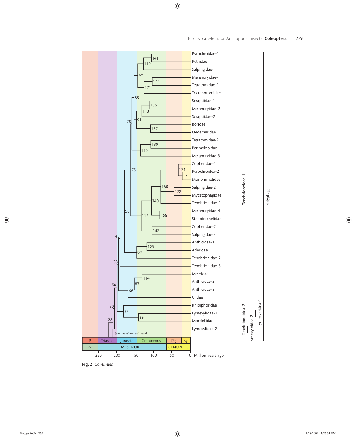

Fig. 2 *Continues*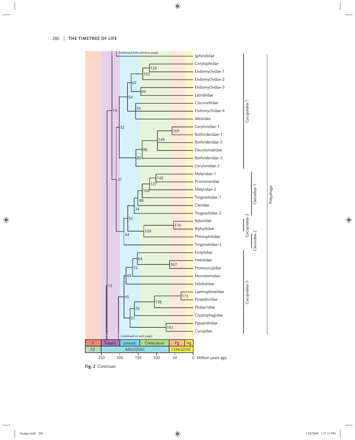

Fig. 2 *Continues*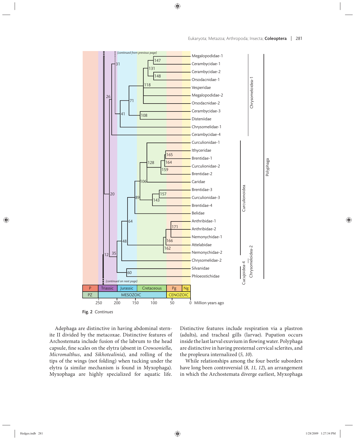

Fig. 2 *Continues*

Adephaga are distinctive in having abdominal sternite II divided by the metacoxae. Distinctive features of Archostemata include fusion of the labrum to the head capsule, fine scales on the elytra (absent in *Crowsoniella*, *Micromalthus*, and *Sikhotealinia*), and rolling of the tips of the wings (not folding) when tucking under the elytra (a similar mechanism is found in Myxophaga). Myxophaga are highly specialized for aquatic life. Distinctive features include respiration via a plastron (adults), and tracheal gills (larvae). Pupation occurs inside the last larval exuvium in flowing water. Polyphaga are distinctive in having presternal cervical sclerites, and the propleura internalized (*5, 10*).

While relationships among the four beetle suborders have long been controversial (*8, 11, 12*), an arrangement in which the Archostemata diverge earliest, Myxophaga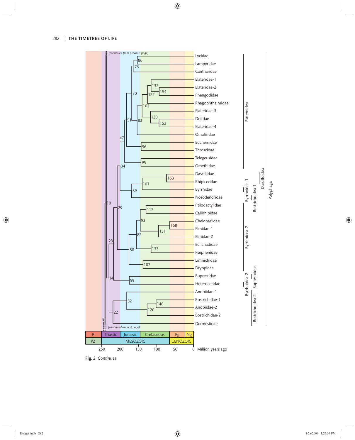

Fig. 2 *Continues*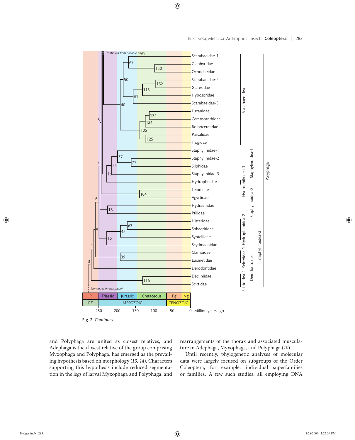

Fig. 2 *Continues*

and Polyphaga are united as closest relatives, and Adephaga is the closest relative of the group comprising Myxophaga and Polyphaga, has emerged as the prevailing hypothesis based on morphology (*13, 14*). Characters supporting this hypothesis include reduced segmentation in the legs of larval Myxophaga and Polyphaga, and rearrangements of the thorax and associated musculature in Adephaga, Myxophaga, and Polyphaga (*10*).

Until recently, phylogenetic analyses of molecular data were largely focused on subgroups of the Order Coleoptera, for example, individual superfamilies or families. A few such studies, all employing DNA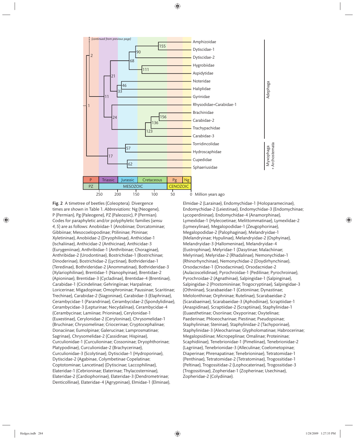

Fig. 2 A timetree of beetles (Coleoptera). Divergence times are shown in Table 1. *Abbreviations*: Ng (Neogene), P (Permian), Pg (Paleogene), PZ (Paleozoic), P (Permian). Codes for paraphyletic and/or polyphyletic families (*sensu 4*, *5*) are as follows: Anobiidae-1 (Anobiinae; Dorcatominae; Gibbiinae; Mesocoelopodinae; Ptilininae; Ptininae; Xyletininae), Anobiidae-2 (Dryophilinae), Anthicidae-1 (Ischaliinae), Anthicidae-2 (Anthicinae), Anthicidae-3 (Eurygeniinae), Anthribidae-1 (Anthribinae; Choraginae), Anthribidae-2 (Urodontinae), Bostrichidae-1 (Bostrichinae; Dinoderinae), Bostrichidae-2 (Lyctinae), Bothrideridae-1 (Teredinae), Bothrideridae-2 (Anommatinae), Bothrideridae-3 (Xylariophilinae), Brentidae-1 (Nanophyinae), Brentidae-2 (Apioninae), Brentidae-3 (Cycladinae), Brentidae-4 (Brentinae), Carabidae-1 (Cicindelinae; Gehringiinae; Harpalinae; Loricerinae; Migadopinae; Omophroninae; Paussinae; Scaritinae; Trechinae), Carabidae-2 (Siagoninae), Carabidae-3 (Elaphrinae), Cerambycidae-1 (Parandrinae), Cerambycidae-2 (Spondylidinae), Cerambycidae-3 (Lepturinae; Necydalinae), Cerambycidae-4 (Cerambycinae; Lamiinae; Prioninae), Cerylonidae-1 (Euxestinae), Cerylonidae-2 (Ceryloninae), Chrysomelidae-1 (Bruchinae; Chrysomelinae; Criocerinae; Cryptocephalinae; Donaciinae; Eumolpinae; Galerucinae; Lamprosmatinae; Sagrinae), Chrysomelidae-2 (Cassidinae; Hispinae), Curculionidae-1 (Curculioninae; Cossoninae; Dryophthorinae; Platypodinae), Curculionidae-2 (Brachycerinae), Curculionidae-3 (Scolytinae), Dytiscidae-1 (Hydroporinae), Dytiscidae-2 (Agabinae, Colymbetinae Copelatinae; Coptotominae; Lancetinae) (Dytiscinae; Laccophilinae), Elateridae-1 (Cebrioninae; Elaterinae; Thylacosterninae), Elateridae-2 (Cardiophorinae), Elateridae-3 (Dendrometrinae; Denticollinae), Elateridae-4 (Agrypninae), Elmidae-1 (Elminae),

Elmidae-2 (Larainae), Endomychidae-1 (Holoparamecinae), Endomychidae-2 (Leiestinae), Endomychidae-3 (Endomychinae; Lycoperdininae), Endomychidae-4 (Anamorphinae), Lymexlidae-1 (Hylecoetinae; Melittommatinae), Lymexlidae-2 (Lymexylinae), Megalopodidae-1 (Zeugophorinae), Megalopodidae-2 (Palophaginae), Melandryidae-1 (Melandryinae; Hypulinae), Melandryidae-2 (Osphyinae), Melandryidae-3 (Hallomeninae), Melandryidae-4 (Eustrophinae), Melyridae-1 (Dasytinae; Malachiinae; Melyrinae), Melyridae-2 (Rhadalinae), Nemonychidae-1 (Rhinorhynchinae), Nemonychidae-2 (Doydirhynchinae), Orsodacnidae-1 (Orsodacninae), Orsodacnidae-2 (Aulacoscelidinae), Pyrochroidae-1 (Pedilinae; Pyrochroinae), Pyrochroidae-2 (Agnathinae), Salpingidae-1 (Salpinginae), Salpingidae-2 (Prostominiinae; Trogocryptinae), Salpingidae-3 (Othniinae), Scarabaeidae-1 (Cetoniinae; Dynastinae; Melolonthinae; Orphninae; Rutelinae), Scarabaeidae-2 (Scarabaeinae), Scarabaeidae-3 (Aphodiinae), Scraptiidae-1 (Anaspidinae), Scraptiidae-2 (Scraptiinae), Staphylinidae-1 (Euaesthetinae; Osoriinae; Oxyporinae; Oxytelinae; Paederinae; Phloeocharinae; Piestinae; Pseudopsinae; Staphylininae; Steninae), Staphylinidae-2 (Tachyporinae), Staphylinidae-3 (Aleocharinae; Glypholomatinae; Habrocerinae; Megalopsidiinae; Micropeplinae; Omalinae; Proteininae; Scaphidiinae), Tenebrionidae-1 (Pimeliinae), Tenebrionidae-2 (Lagriinae), Tenebrionidae-3 (Alleculinae; Coelometopinae; Diaperinae; Phrenapatinae; Tenebrioninae), Tetratomidae-1 (Penthinae), Tetratomidae-2 (Tetratominae), Trogossitidae-1 (Peltinae), Trogossitidae-2 (Lophocaterinae), Trogossitidae-3 (Trogossitinae), Zopheridae-1 (Zopherinae; Usechinae), Zopheridae-2 (Colydiinae).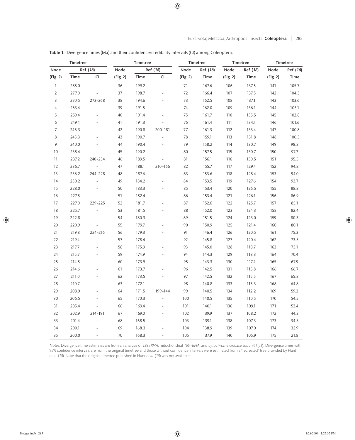|          | Timetree  |                          |          | Timetree  |                          |          | Timetree  |          | Timetree  |          | <b>Timetree</b> |  |
|----------|-----------|--------------------------|----------|-----------|--------------------------|----------|-----------|----------|-----------|----------|-----------------|--|
| Node     | Ref. (18) |                          | Node     | Ref. (18) |                          | Node     | Ref. (18) | Node     | Ref. (18) | Node     | Ref. (18)       |  |
| (Fig. 2) | Time      | <b>CI</b>                | (Fig. 2) | Time      | CI                       | (Fig. 2) | Time      | (Fig. 2) | Time      | (Fig. 2) | Time            |  |
| 1        | 285.0     |                          | 36       | 199.2     | $\overline{\phantom{0}}$ | 71       | 167.6     | 106      | 137.5     | 141      | 105.7           |  |
| 2        | 277.0     |                          | 37       | 198.7     | -                        | 72       | 166.4     | 107      | 137.5     | 142      | 104.3           |  |
| 3        | 270.5     | 273-268                  | 38       | 194.6     | $\qquad \qquad -$        | 73       | 162.5     | 108      | 137.1     | 143      | 103.6           |  |
| 4        | 263.4     | $\overline{a}$           | 39       | 191.5     | $\qquad \qquad -$        | 74       | 162.0     | 109      | 136.1     | 144      | 103.1           |  |
| 5        | 259.4     |                          | 40       | 191.4     |                          | 75       | 161.7     | 110      | 135.5     | 145      | 102.8           |  |
| 6        | 249.4     |                          | 41       | 191.3     |                          | 76       | 161.4     | 111      | 134.1     | 146      | 101.6           |  |
| 7        | 246.3     |                          | 42       | 190.8     | 200-181                  | 77       | 161.3     | 112      | 133.4     | 147      | 100.8           |  |
| 8        | 243.3     |                          | 43       | 190.7     |                          | 78       | 159.1     | 113      | 131.8     | 148      | 100.3           |  |
| 9        | 240.0     |                          | 44       | 190.4     | $\qquad \qquad -$        | 79       | 158.2     | 114      | 130.7     | 149      | 98.8            |  |
| 10       | 238.4     | $\overline{\phantom{a}}$ | 45       | 190.2     |                          | 80       | 157.5     | 115      | 130.7     | 150      | 97.7            |  |
| 11       | 237.2     | 240-234                  | 46       | 189.5     |                          | 81       | 156.1     | 116      | 130.5     | 151      | 95.5            |  |
| 12       | 236.7     |                          | 47       | 188.1     | 210-166                  | 82       | 155.7     | 117      | 129.4     | 152      | 94.8            |  |
| 13       | 236.2     | 244-228                  | 48       | 187.6     |                          | 83       | 153.6     | 118      | 128.4     | 153      | 94.0            |  |
| 14       | 230.2     |                          | 49       | 184.2     |                          | 84       | 153.5     | 119      | 127.6     | 154      | 93.7            |  |
| 15       | 228.0     |                          | 50       | 183.3     | $\qquad \qquad -$        | 85       | 153.4     | 120      | 126.5     | 155      | 88.8            |  |
| 16       | 227.8     | $\qquad \qquad -$        | 51       | 182.4     | $\qquad \qquad -$        | 86       | 153.4     | 121      | 126.1     | 156      | 86.9            |  |
| 17       | 227.0     | 229-225                  | 52       | 181.7     | $\overline{\phantom{0}}$ | 87       | 152.6     | 122      | 125.7     | 157      | 85.1            |  |
| 18       | 225.7     |                          | 53       | 181.5     | $\overline{a}$           | 88       | 152.0     | 123      | 124.3     | 158      | 82.4            |  |
| 19       | 222.8     |                          | 54       | 180.3     |                          | 89       | 151.5     | 124      | 123.0     | 159      | 80.3            |  |
| 20       | 220.9     |                          | 55       | 179.7     | -                        | 90       | 150.9     | 125      | 121.4     | 160      | 80.1            |  |
| 21       | 219.8     | 224-216                  | 56       | 179.3     | $\qquad \qquad -$        | 91       | 146.4     | 126      | 120.5     | 161      | 75.3            |  |
| 22       | 219.4     |                          | 57       | 178.4     | $\qquad \qquad -$        | 92       | 145.8     | 127      | 120.4     | 162      | 73.5            |  |
| 23       | 217.7     |                          | 58       | 175.9     |                          | 93       | 145.0     | 128      | 118.7     | 163      | 73.1            |  |
| 24       | 215.7     | $\overline{a}$           | 59       | 174.9     |                          | 94       | 144.3     | 129      | 118.3     | 164      | 70.4            |  |
| 25       | 214.8     |                          | 60       | 173.9     |                          | 95       | 143.3     | 130      | 117.4     | 165      | 67.9            |  |
| 26       | 214.6     |                          | 61       | 173.7     |                          | 96       | 142.5     | 131      | 115.8     | 166      | 66.7            |  |
| 27       | 211.0     | $\overline{a}$           | 62       | 173.5     |                          | 97       | 142.5     | 132      | 115.5     | 167      | 65.8            |  |
| 28       | 210.7     |                          | 63       | 172.1     |                          | 98       | 140.8     | 133      | 115.3     | 168      | 64.8            |  |
| 29       | 208.0     |                          | 64       | 171.5     | 199-144                  | 99       | 140.5     | 134      | 112.2     | 169      | 59.3            |  |
| 30       | 206.5     | $\overline{\phantom{0}}$ | 65       | 170.3     | $\overline{\phantom{a}}$ | 100      | 140.5     | 135      | 110.5     | 170      | 54.5            |  |
| 31       | 205.4     | $\qquad \qquad -$        | 66       | 169.4     | $\qquad \qquad -$        | 101      | 140.1     | 136      | 109.1     | 171      | 53.4            |  |
| 32       | 202.9     | 214-191                  | 67       | 169.0     | $\overline{\phantom{a}}$ | 102      | 139.9     | 137      | 108.2     | 172      | 44.3            |  |
| 33       | 201.4     | $\qquad \qquad -$        | 68       | 168.5     | $\overline{\phantom{0}}$ | 103      | 139.1     | 138      | 107.3     | 173      | 34.5            |  |
| 34       | 200.1     | $\qquad \qquad -$        | 69       | 168.3     |                          | 104      | 138.9     | 139      | 107.0     | 174      | 32.9            |  |
| 35       | 200.0     | $\qquad \qquad -$        | 70       | 168.3     | $\overline{\phantom{a}}$ | 105      | 137.9     | 140      | 105.9     | 175      | 21.8            |  |

Table 1. Divergence times (Ma) and their confidence/credibility intervals (CI) among Coleoptera.

Notes: Divergence time estimates are from an analysis of 18S rRNA, mitochondrial 16S rRNA, and cytochrome oxidase subunit I (18). Divergence times with 95% confidence intervals are from the original timetree and those without confidence intervals were estimated from a "recreated" tree provided by Hunt et al. (18). Note that the original timetree published in Hunt et al. (18) was not available.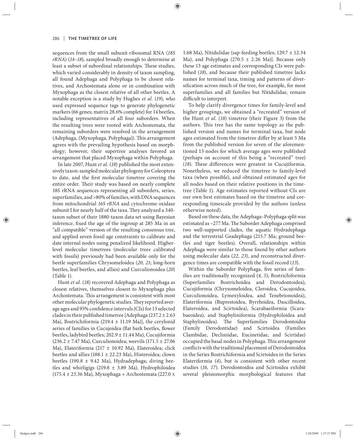sequences from the small subunit ribosomal RNA (*18S rRNA*) (*14–18*), sampled broadly enough to determine at least a subset of subordinal relationships. These studies, which varied considerably in density of taxon sampling, all found Adephaga and Polyphaga to be closest relatives, and Archostemata alone or in combination with Myxophaga as the closest relative of all other beetles. A notable exception is a study by Hughes *et al.* (*19*), who used expressed sequence tags to generate phylogenetic markers (66 genes; matrix 28.6% complete) for 14 beetles, including representatives of all four suborders. When the resulting trees were rooted with Archostemata, the remaining suborders were resolved in the arrangement (Adephaga, (Myxophaga, Polyphaga)). This arrangement agrees with the prevailing hypothesis based on morphology; however, their supertree analyses favored an arrangement that placed Myxophaga within Polyphaga.

In late 2007, Hunt *et al.* (*18*) published the most extensively taxon-sampled molecular phylogeny for Coleoptera to date, and the first molecular timetree covering the entire order. Their study was based on nearly complete 18S rRNA sequences representing all suborders, series, superfamilies, and >80% of families, with DNA sequences from mitochondrial *16S rRNA* and cytochrome oxidase subunit I for nearly half of the taxa. They analyzed a 340taxon subset of their 1880-taxon data set using Bayesian inference, fixed the age of the ingroup at 285 Ma in an "all compatible" version of the resulting consensus tree, and applied seven fossil age constraints to calibrate and date internal nodes using penalized likelihood. Higherlevel molecular timetrees (molecular trees calibrated with fossils) previously had been available only for the beetle superfamilies Chrysomeloidea (*20, 21*; long-horn beetles, leaf beetles, and allies) and Curculionoidea (*20*) (Table 1).

Hunt *et al.* (*18*) recovered Adephaga and Polyphaga as closest relatives, themselves closest to Myxophaga plus Archostemata. This arrangement is consistent with most other molecular phylogenetic studies. They reported average ages and 95% confidence intervals (CIs) for 13 selected clades in their published timetree [Adephaga  $(237.2 \pm 2.63)$ Ma), Bostrichiformia (219.4  $\pm$  11.19 Ma)], the cerylonid series of families in Cucujoidea (flat bark beetles, flower beetles, ladybird beetles; 202.9 ± 11.44 Ma), Cucujiformia  $(236.2 \pm 7.47 \text{ Ma})$ , Curculionoidea; weevils  $(171.5 \pm 27.06 \text{ A})$ Ma), Elateriformia (217 ± 10.92 Ma), Elateroidea; click beetles and allies (188.1  $\pm$  22.23 Ma), Histeroidea; clown beetles (190.8  $\pm$  9.42 Ma), Hydradephaga; diving beetles and whirligigs  $(219.8 \pm 3.89)$  Ma), Hydrophiloidea (175.4 ± 23.36 Ma), Myxophaga + Archostemata (227.0 ± 1.68 Ma), Nitidulidae (sap-feeding beetles;  $129.7 \pm 12.34$ Ma), and Polyphaga (270.5  $\pm$  2.26 Ma)]. Because only these 13 age estimates and corresponding CIs were published (18), and because their published timetree lacks names for terminal taxa, timing and patterns of diversification across much of the tree, for example, for most superfamilies and all families but Nitidulidae, remain difficult to interpret.

To help clarify divergence times for family-level and higher groupings, we obtained a "recreated" version of the Hunt *et al.* (*18*) timetree (their Figure 3) from the authors. This tree has the same topology as the published version and names for terminal taxa, but node ages estimated from the timetree differ by at least 5 Ma from the published version for seven of the aforementioned 13 nodes for which average ages were published (perhaps on account of this being a "recreated" tree) (18). These differences were greatest in Cucujiformia. Nonetheless, we reduced the timetree to family-level taxa (when possible), and obtained estimated ages for all nodes based on their relative positions in the timetree (Table 1). Age estimates reported without CIs are our own best estimates based on the timetree and corresponding timescale provided by the authors (unless otherwise noted).

Based on these data, the Adephaga–Polyphaga split was estimated as ~277 Ma. The Suborder Adephaga comprised two well-supported clades, the aquatic Hydradephaga and the terrestrial Geadephaga (215.7 Ma; ground beetles and tiger beetles). Overall, relationships within Adephaga were similar to those found by other authors using molecular data (*22, 23*), and reconstructed divergence times are compatible with the fossil record (*13*).

Within the Suborder Polyphaga, five series of families are traditionally recognized (*4, 5*); Bostrichiformia (Superfamilies Bostrichoidea and Derodontoidea), Cucujiformia (Chrysomeloidea, Cleroidea, Cucujoidea, Curculionoidea, Lymexyloidea, and Tenebrionoidea), Elateriformia (Buprestoidea, Byrrhoidea, Dascilloidea, Elateroidea, and Scirtoidea), Scarabaeiformia (Scarabaeoidea), and Staphyliniformia (Hydrophiloidea and Staphylinoidea). The Superfamilies Derodontoidea (Family Derodontidae) and Scirtoidea (Families Clambidae, Decliniidae, Eucinetidae, and Scirtidae) occupied the basal nodes in Polyphaga. This arrangement conflicts with the traditional placement of Derodontoidea in the Series Bostrichiformia and Scirtoidea in the Series Elateriformia (4), but is consistent with other recent studies (*16, 17*). Derodontoidea and Scirtoidea exhibit several pleisiomorphic morphological features that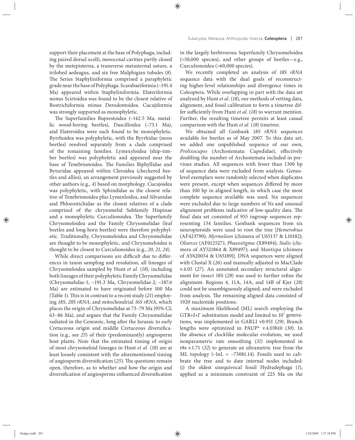support their placement at the base of Polyphaga, including paired dorsal ocelli, mesocoxal cavities partly closed by the metepisterna, a transverse metasternal suture, a trilobed aedeagus, and six free Malphigian tubules (8). The Series Staphyliniformia comprised a paraphyletic grade near the base of Polyphaga. Scarabaeiformia (~191.4 Ma) appeared within Staphyliniformia. Elateriformia minus Scirtoidea was found to be the closest relative of Bostrichiformia minus Derodontoidea. Cucujiformia was strongly supported as monophyletic.

The Superfamilies Buprestoidea (~142.5 Ma; metallic wood-boring beetles), Dascilloidea (~73.1 Ma), and Elateroidea were each found to be monophyletic. Byrrhoidea was polyphyletic, with the Byrrhidae (moss beetles) resolved separately from a clade comprised of the remaining families. Lymexyloidea (ship-timber beetles) was polyphyletic and appeared near the base of Tenebrionoidea. The Families Biphyllidae and Byturidae appeared within Cleroidea (checkered beetles and allies), an arrangement previously suggested by other authors (e.g., *4*) based on morphology. Cucujoidea was polyphyletic, with Sphindidae as the closest relative of Tenebrionoidea plus Lymexloidea, and Silvanidae and Phloeostichidae as the closest relatives of a clade comprised of the chrysomelid Subfamily Hispinae and a monophyletic Curculionoidea. The Superfamily Chrysomeloidea and the Family Chrysomelidae (leaf beetles and long-horn beetles) were therefore polyphyletic. Traditionally, Chrysomeloidea and Chrysomelidae are thought to be monophyletic, and Chrysomeloidea is thought to be closest to Curculionoidea (e.g., *20, 21*, *24*).

While direct comparisons are difficult due to differences in taxon sampling and resolution, all lineages of Chrysomeloidea sampled by Hunt *et al.* (*18*), including both lineages of their polyphyletic Family Chrysomelidae (Chrysomelidae-1; ~191.3 Ma, Chrysomelidae-2; ~187.6 Ma) are estimated to have originated before 100 Ma (Table 1). This is in contrast to a recent study (21) employing *18S, 28S rRNA,* and mitochondrial *16S rRNA*, which places the origin of Chrysomelidae at 73–79 Ma (95% CI; 63–86 Ma), and argues that the Family Chrysomelidae radiated in the Cenozoic, long after the Jurassic to early Cretaceous origin and middle Cretaceous diversification (e.g., see *25*) of their (predominantly) angiosperm host plants. Note that the estimated timing of origin of most chrysomeloid lineages in Hunt *et al.* (*18*) are at least loosely consistent with the aforementioned timing of angiosperm diversification (25). The questions remain open, therefore, as to whether and how the origin and diversification of angiosperms influenced diversification in the largely herbivorous Superfamily Chrysomeloidea  $($ >50,000 species), and other groups of beetles-e.g., Curculionoidea (>60,000 species).

We recently completed an analysis of *18S rRNA* sequence data with the dual goals of reconstructing higher-level relationships and divergence times in Coleoptera. While overlapping in part with the data set analyzed by Hunt *et al.* (*18*), our methods of vetting data, alignment, and fossil calibration to form a timetree differ sufficiently from Hunt *et al.* (18) to warrant mention. Further, the resulting timetree permits at least casual comparison with the Hunt *et al.* (*18*) timetree.

We obtained all Genbank 18S rRNA sequences available for beetles as of May 2007. To this data set, we added one unpublished sequence of our own, Prolixocupes (Archostemata: Cupedidae), effectively doubling the number of Archostemata included in previous studies. All sequences with fewer than 1300 bp of sequence data were excluded from analysis. Genuslevel exemplars were randomly selected when duplicates were present, except when sequences differed by more than 100 bp in aligned length, in which case the most complete sequence available was used. Six sequences were excluded due to large numbers of Ns and unusual alignment problems indicative of low-quality data. The final data set consisted of 955 ingroup sequences representing 134 families. Genbank sequences from six neuropteroids were used to root the tree [*Hemerobius* (AF423790); *Myrmeleon* (chimera of U65137 & L10182); *Oliarces* (AF012527); *Phaeostigma* (X89494); *Sialis* (chimera of AY521864 & X89497); and *Mantispa* (chimera of AY620034 & U65189)]. DNA sequences were aligned with Clustal X (*26*) and manually adjusted in MacClade v.4.05 (27). An annotated secondary structural alignment for insect 18S (28) was used to further refine the alignment. Regions 4, 11A, 14A, and 14B of Kjer (*28*) could not be unambiguously aligned, and were excluded from analysis. The remaining aligned data consisted of 1920 nucleotide positions.

A maximum likelihood (ML) search employing the GTR+I+Γ substitution model and limited to 10<sup>7</sup> generations, was implemented in GARLI v0.951 (*29*). Branch lengths were optimized in PAUP\* v.4.03b10 (*30*). In the absence of clocklike molecular evolution, we used nonparametric rate smoothing (*31*) implemented in r8s v.1.71 (*32*) to generate an ultrametric tree from the ML topology  $(-lnL = -73081.14)$ . Fossils used to calibrate the tree and to date internal nodes included: (i) the oldest unequivocal fossil Hydradephaga (*1*), applied as a minimum constraint of 225 Ma on the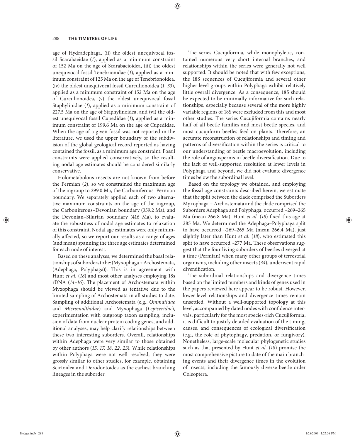age of Hydradephaga, (ii) the oldest unequivocal fossil Scarabaeidae (*1*), applied as a minimum constraint of 152 Ma on the age of Scarabaeioidea, (iii) the oldest unequivocal fossil Tenebrionidae (*1*), applied as a minimum constraint of 125 Ma on the age of Tenebrionoidea, (iv) the oldest unequivocal fossil Curculionoidea (*1, 33*), applied as a minimum constraint of 152 Ma on the age of Curculionoidea, (v) the oldest unequivocal fossil Staphylinidae (*1*), applied as a minimum constraint of 227.5 Ma on the age of Staphylinoidea, and (vi) the oldest unequivocal fossil Cupedidae (*1*), applied as a minimum constraint of 199.6 Ma on the age of Cupedidae. When the age of a given fossil was not reported in the literature, we used the upper boundary of the subdivision of the global geological record reported as having contained the fossil, as a minimum age constraint. Fossil constraints were applied conservatively, so the resulting nodal age estimates should be considered similarly conservative.

Holometabolous insects are not known from before the Permian (2), so we constrained the maximum age of the ingroup to 299.0 Ma, the Carboniferous–Permian boundary. We separately applied each of two alternative maximum constraints on the age of the ingroup, the Carboniferous–Devonian boundary (359.2 Ma), and the Devonian–Silurian boundary (416 Ma), to evaluate the robustness of nodal age estimates to relaxation of this constraint. Nodal age estimates were only minimally affected, so we report our results as a range of ages (and mean) spanning the three age estimates determined for each node of interest.

Based on these analyses, we determined the basal relationships of suborders to be: (Myxophaga + Archostemata, (Adephaga, Polyphaga)). This is in agreement with Hunt *et al.* (*18*) and most other analyses employing 18s rDNA (14-16). The placement of Archostemata within Myxophaga should be viewed as tentative due to the limited sampling of Archostemata in all studies to date. Sampling of additional Archostemata (e.g., *Ommatidae* and *Micromalthidae*) and Myxophaga (*Lepiceridae*), experimentation with outgroup taxon sampling, inclusion of data from nuclear protein coding genes, and additional analyses, may help clarify relationships between these two interesting suborders. Overall, relationships within Adephaga were very similar to those obtained by other authors (*15, 17, 18, 22, 23*). While relationships within Polyphaga were not well resolved, they were grossly similar to other studies, for example, obtaining Scirtoidea and Derodontoidea as the earliest branching lineages in the suborder.

The series Cucujiformia, while monophyletic, contained numerous very short internal branches, and relationships within the series were generally not well supported. It should be noted that with few exceptions, the 18S sequences of Cucujiformia and several other higher-level groups within Polyphaga exhibit relatively little overall divergence. As a consequence, 18S should be expected to be minimally informative for such relationships, especially because several of the more highly variable regions of 18S were excluded from this and most other studies. The series Cucujiformia contains nearly half of all beetle families and most beetle species, and most cucujiform beetles feed on plants. Therefore, an accurate reconstruction of relationships and timing and patterns of diversification within the series is critical to our understanding of beetle macroevolution, including the role of angiosperms in beetle diversification. Due to the lack of well-supported resolution at lower levels in Polyphaga and beyond, we did not evaluate divergence times below the subordinal level.

Based on the topology we obtained, and employing the fossil age constraints described herein, we estimate that the split between the clade comprised the Suborders Myxophaga + Archostemata and the clade comprised the Suborders Adephaga and Polyphaga, occurred ~269–265 Ma (mean 266.8 Ma). Hunt et al. (18) fixed this age at 285 Ma. We determined the Adephaga–Polyphaga split to have occurred  $~269-265$  Ma (mean 266.4 Ma), just slightly later than Hunt *et al.* (18), who estimated this split to have occurred  $\sim$ 277 Ma. These observations suggest that the four living suborders of beetles diverged at a time (Permian) when many other groups of terrestrial organisms, including other insects (*34*), underwent rapid diversification.

The subordinal relationships and divergence times based on the limited numbers and kinds of genes used in the papers reviewed here appear to be robust. However, lower-level relationships and divergence times remain unsettled. Without a well-supported topology at this level, accompanied by dated nodes with confidence intervals, particularly for the most species-rich Cucujiformia, it is difficult to justify detailed evaluation of the timing, causes, and consequences of ecological diversification (e.g., the role of phytophagy, predation, or fungivory). Nonetheless, large-scale molecular phylogenetic studies such as that presented by Hunt *et al.* (18) promise the most comprehensive picture to date of the main branching events and their divergence times in the evolution of insects, including the famously diverse beetle order Coleoptera.